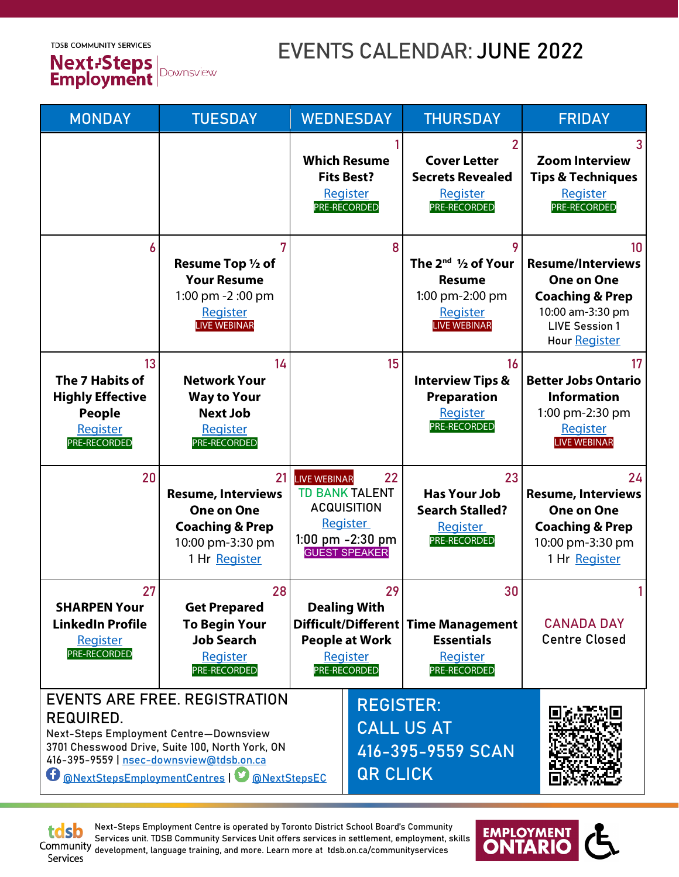**TDSB COMMUNITY SERVICES** 



## EVENTS CALENDAR: JUNE 2022

| <b>MONDAY</b>                                                                                                                                                                                                                                       | <b>TUESDAY</b>                                                                                                          | <b>WEDNESDAY</b>                                                                                                                  |                  | <b>THURSDAY</b>                                                                                                | <b>FRIDAY</b>                                                                                                                                   |
|-----------------------------------------------------------------------------------------------------------------------------------------------------------------------------------------------------------------------------------------------------|-------------------------------------------------------------------------------------------------------------------------|-----------------------------------------------------------------------------------------------------------------------------------|------------------|----------------------------------------------------------------------------------------------------------------|-------------------------------------------------------------------------------------------------------------------------------------------------|
|                                                                                                                                                                                                                                                     |                                                                                                                         | <b>Which Resume</b><br><b>Fits Best?</b><br><b>Register</b><br>PRE-RECORDED                                                       |                  | 2<br><b>Cover Letter</b><br><b>Secrets Revealed</b><br>Register<br>PRE-RECORDED                                | 3<br><b>Zoom Interview</b><br><b>Tips &amp; Techniques</b><br>Register<br>PRE-RECORDED                                                          |
| 6                                                                                                                                                                                                                                                   | Resume Top 1/2 of<br><b>Your Resume</b><br>1:00 pm -2:00 pm<br>Register<br><b>LIVE WEBINAR</b>                          |                                                                                                                                   | 8                | 9<br>The $2^{nd}$ $\frac{1}{2}$ of Your<br><b>Resume</b><br>1:00 pm-2:00 pm<br>Register<br><b>LIVE WEBINAR</b> | 10<br><b>Resume/Interviews</b><br><b>One on One</b><br><b>Coaching &amp; Prep</b><br>10:00 am-3:30 pm<br><b>LIVE Session 1</b><br>Hour Register |
| 13 <sup>°</sup><br>The 7 Habits of<br><b>Highly Effective</b><br><b>People</b><br>Register<br>PRE-RECORDED                                                                                                                                          | 14<br><b>Network Your</b><br><b>Way to Your</b><br><b>Next Job</b><br>Register<br>PRE-RECORDED                          |                                                                                                                                   | 15 <sup>15</sup> | 16<br><b>Interview Tips &amp;</b><br><b>Preparation</b><br>Register<br>PRE-RECORDED                            | 17<br><b>Better Jobs Ontario</b><br><b>Information</b><br>1:00 pm-2:30 pm<br>Register<br><b>LIVE WEBINAR</b>                                    |
| 20                                                                                                                                                                                                                                                  | 21<br><b>Resume, Interviews</b><br><b>One on One</b><br><b>Coaching &amp; Prep</b><br>10:00 pm-3:30 pm<br>1 Hr Register | <b>LIVE WEBINAR</b><br><b>TD BANK TALENT</b><br><b>ACQUISITION</b><br><b>Register</b><br>1:00 pm -2:30 pm<br><b>GUEST SPEAKER</b> | 22               | 23<br><b>Has Your Job</b><br><b>Search Stalled?</b><br><b>Register</b><br><b>PRE-RECORDED</b>                  | 24<br><b>Resume, Interviews</b><br><b>One on One</b><br><b>Coaching &amp; Prep</b><br>10:00 pm-3:30 pm<br>1 Hr Register                         |
| 27<br><b>SHARPEN Your</b><br><b>LinkedIn Profile</b><br><b>Register</b><br>PRE-RECORDED                                                                                                                                                             | 28<br><b>Get Prepared</b><br><b>To Begin Your</b><br><b>Job Search</b><br><b>Register</b><br>PRE-RECORDED               | 29<br><b>Dealing With</b><br><b>Difficult/Different</b><br><b>People at Work</b><br><b>Register</b><br><b>PRE-RECORDED</b>        |                  | 30<br>Time Management<br><b>Essentials</b><br>Register<br><b>PRE-RECORDED</b>                                  | <b>CANADA DAY</b><br><b>Centre Closed</b>                                                                                                       |
| <b>EVENTS ARE FREE, REGISTRATION</b><br>REQUIRED.<br>Next-Steps Employment Centre-Downsview<br>3701 Chesswood Drive, Suite 100, North York, ON<br>416-395-9559   nsec-downsview@tdsb.on.ca<br><b>O</b> @NextStepsEmploymentCentres   O @NextStepsEC |                                                                                                                         |                                                                                                                                   |                  | <b>REGISTER:</b><br><b>CALL US AT</b><br>416-395-9559 SCAN<br><b>QR CLICK</b>                                  |                                                                                                                                                 |

tdsb

Next-Steps Employment Centre is operated by Toronto District School Board's Community Services unit. TDSB Community Services Unit offers services in settlement, employment, skills development, language training, and more. Learn more at tdsb.on.ca/communityservices Services